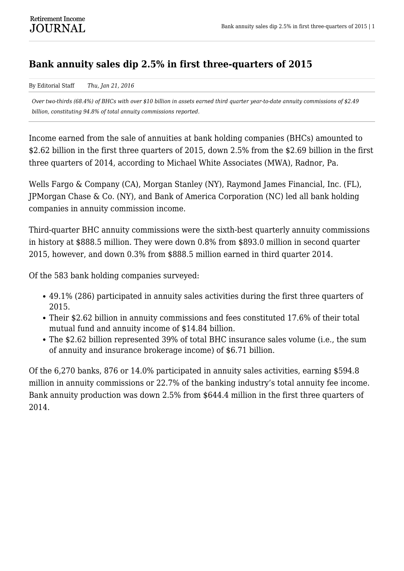## **Bank annuity sales dip 2.5% in first three-quarters of 2015**

By Editorial Staff *Thu, Jan 21, 2016*

*Over two-thirds (68.4%) of BHCs with over \$10 billion in assets earned third quarter year-to-date annuity commissions of \$2.49 billion, constituting 94.8% of total annuity commissions reported.*

Income earned from the sale of annuities at bank holding companies (BHCs) amounted to \$2.62 billion in the first three quarters of 2015, down 2.5% from the \$2.69 billion in the first three quarters of 2014, according to Michael White Associates (MWA), Radnor, Pa.

Wells Fargo & Company (CA), Morgan Stanley (NY), Raymond James Financial, Inc. (FL), JPMorgan Chase & Co. (NY), and Bank of America Corporation (NC) led all bank holding companies in annuity commission income.

Third-quarter BHC annuity commissions were the sixth-best quarterly annuity commissions in history at \$888.5 million. They were down 0.8% from \$893.0 million in second quarter 2015, however, and down 0.3% from \$888.5 million earned in third quarter 2014.

Of the 583 bank holding companies surveyed:

- 49.1% (286) participated in annuity sales activities during the first three quarters of 2015.
- Their \$2.62 billion in annuity commissions and fees constituted 17.6% of their total mutual fund and annuity income of \$14.84 billion.
- The \$2.62 billion represented 39% of total BHC insurance sales volume (i.e., the sum of annuity and insurance brokerage income) of \$6.71 billion.

Of the 6,270 banks, 876 or 14.0% participated in annuity sales activities, earning \$594.8 million in annuity commissions or 22.7% of the banking industry's total annuity fee income. Bank annuity production was down 2.5% from \$644.4 million in the first three quarters of 2014.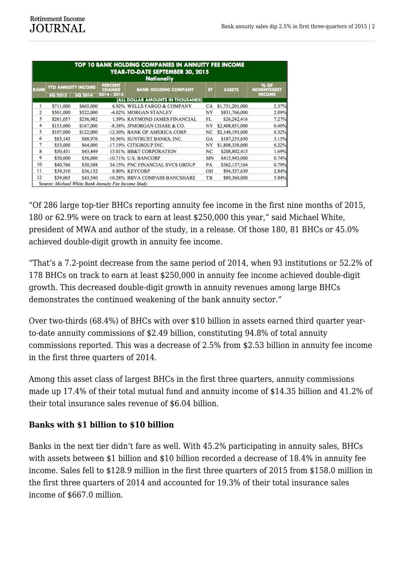| TOP 10 BANK HOLDING COMPANIES IN ANNUITY FEE INCOME<br>YEAR-TO-DATE SEPTEMBER 30, 2015<br><b>Nationally</b> |                           |                |                                                |                                   |           |                 |                                             |
|-------------------------------------------------------------------------------------------------------------|---------------------------|----------------|------------------------------------------------|-----------------------------------|-----------|-----------------|---------------------------------------------|
| <b>RANK</b>                                                                                                 | <b>YTD ANNUITY INCOME</b> |                | <b>PERCENT</b><br><b>CHANGE</b><br>2014 - 2015 | <b>BANK HOLDING COMPANY</b>       | <b>ST</b> | <b>ASSETS</b>   | % OF<br><b>NONINTEREST</b><br><b>INCOME</b> |
|                                                                                                             | 3Q 2015                   | <b>3Q 2014</b> |                                                | (ALL DOLLAR AMOUNTS IN THOUSANDS) |           |                 |                                             |
| 1                                                                                                           | \$711,000                 | \$665,000      |                                                | 6.92% WELLS FARGO & COMPANY       | CA        | \$1,751,201,000 | 2.37%                                       |
| 2                                                                                                           | \$501,000                 | \$522,000      |                                                | -4.02% MORGAN STANLEY             | NY        | \$831,766,000   | 2.09%                                       |
| 3                                                                                                           | \$261,057                 | \$256,982      |                                                | 1.59% RAYMOND JAMES FINANCIAL     | FL        | \$26,242,416    | 7.27%                                       |
| 4                                                                                                           | \$153,000                 | \$167,000      |                                                | -8.38% JPMORGAN CHASE & CO.       | NY        | \$2,408,851,000 | 0.40%                                       |
| 5                                                                                                           | \$107,000                 | \$122,000      |                                                | -12.30% BANK OF AMERICA CORP.     | NC        | \$2,148,193,000 | 0.32%                                       |
| 6                                                                                                           | \$83,143                  | \$88,976       |                                                | 16.56% SUNTRUST BANKS, INC.       | GA        | \$187,255,650   | 3.15%                                       |
| 7                                                                                                           | \$53,000                  | \$64,000       |                                                | -17.19% CITIGROUP INC.            | NY        | \$1,808,338,000 | 0.22%                                       |
| 8                                                                                                           | \$50,431                  | \$43,849       |                                                | 15.01% BB&T CORPORATION           | NC        | \$208,802,415   | 1.69%                                       |
| 9                                                                                                           | \$50,000                  | \$56,000       |                                                | -10.71% U.S. BANCORP              | MN        | \$415,943,000   | 0.74%                                       |
| 10                                                                                                          | \$40,766                  | \$30,388       |                                                | 34.15% PNC FINANCIAL SVCS GROUP   | PA        | \$362,137,164   | 0.79%                                       |
| 11                                                                                                          | \$39,310                  | \$36,132       |                                                | 8.80% KEYCORP                     | OH        | \$94,337,639    | 2.84%                                       |
| 12                                                                                                          | \$39,065                  | \$43,540       |                                                | -10.28% BBVA COMPASS BANCSHARE    | TХ        | \$89,360,000    | 5.84%                                       |
| Source: Michael White Bank Annuity Fee Income Study                                                         |                           |                |                                                |                                   |           |                 |                                             |

"Of 286 large top-tier BHCs reporting annuity fee income in the first nine months of 2015, 180 or 62.9% were on track to earn at least \$250,000 this year," said Michael White, president of MWA and author of the study, in a release. Of those 180, 81 BHCs or 45.0% achieved double-digit growth in annuity fee income.

"That's a 7.2-point decrease from the same period of 2014, when 93 institutions or 52.2% of 178 BHCs on track to earn at least \$250,000 in annuity fee income achieved double-digit growth. This decreased double-digit growth in annuity revenues among large BHCs demonstrates the continued weakening of the bank annuity sector."

Over two-thirds (68.4%) of BHCs with over \$10 billion in assets earned third quarter yearto-date annuity commissions of \$2.49 billion, constituting 94.8% of total annuity commissions reported. This was a decrease of 2.5% from \$2.53 billion in annuity fee income in the first three quarters of 2014.

Among this asset class of largest BHCs in the first three quarters, annuity commissions made up 17.4% of their total mutual fund and annuity income of \$14.35 billion and 41.2% of their total insurance sales revenue of \$6.04 billion.

## **Banks with \$1 billion to \$10 billion**

Banks in the next tier didn't fare as well. With 45.2% participating in annuity sales, BHCs with assets between \$1 billion and \$10 billion recorded a decrease of 18.4% in annuity fee income. Sales fell to \$128.9 million in the first three quarters of 2015 from \$158.0 million in the first three quarters of 2014 and accounted for 19.3% of their total insurance sales income of \$667.0 million.